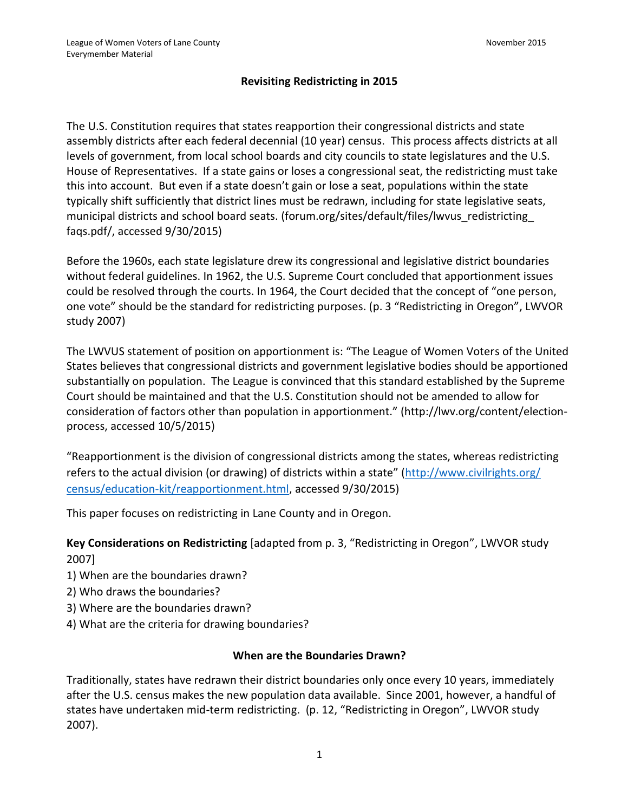## **Revisiting Redistricting in 2015**

The U.S. Constitution requires that states reapportion their congressional districts and state assembly districts after each federal decennial (10 year) census. This process affects districts at all levels of government, from local school boards and city councils to state legislatures and the U.S. House of Representatives. If a state gains or loses a congressional seat, the redistricting must take this into account. But even if a state doesn't gain or lose a seat, populations within the state typically shift sufficiently that district lines must be redrawn, including for state legislative seats, municipal districts and school board seats. (forum.org/sites/default/files/lwvus\_redistricting\_ faqs.pdf/, accessed 9/30/2015)

Before the 1960s, each state legislature drew its congressional and legislative district boundaries without federal guidelines. In 1962, the U.S. Supreme Court concluded that apportionment issues could be resolved through the courts. In 1964, the Court decided that the concept of "one person, one vote" should be the standard for redistricting purposes. (p. 3 "Redistricting in Oregon", LWVOR study 2007)

The LWVUS statement of position on apportionment is: "The League of Women Voters of the United States believes that congressional districts and government legislative bodies should be apportioned substantially on population. The League is convinced that this standard established by the Supreme Court should be maintained and that the U.S. Constitution should not be amended to allow for consideration of factors other than population in apportionment." (http://lwv.org/content/electionprocess, accessed 10/5/2015)

"Reapportionment is the division of congressional districts among the states, whereas redistricting refers to the actual division (or drawing) of districts within a state" ([http://www.civilrights.org/](http://www.civilrights.org/%20census/education-kit/reapportionment.html) [census/education-kit/reapportionment.html,](http://www.civilrights.org/%20census/education-kit/reapportionment.html) accessed 9/30/2015)

This paper focuses on redistricting in Lane County and in Oregon.

**Key Considerations on Redistricting** [adapted from p. 3, "Redistricting in Oregon", LWVOR study 2007]

- 1) When are the boundaries drawn?
- 2) Who draws the boundaries?
- 3) Where are the boundaries drawn?
- 4) What are the criteria for drawing boundaries?

#### **When are the Boundaries Drawn?**

Traditionally, states have redrawn their district boundaries only once every 10 years, immediately after the U.S. census makes the new population data available. Since 2001, however, a handful of states have undertaken mid-term redistricting. (p. 12, "Redistricting in Oregon", LWVOR study 2007).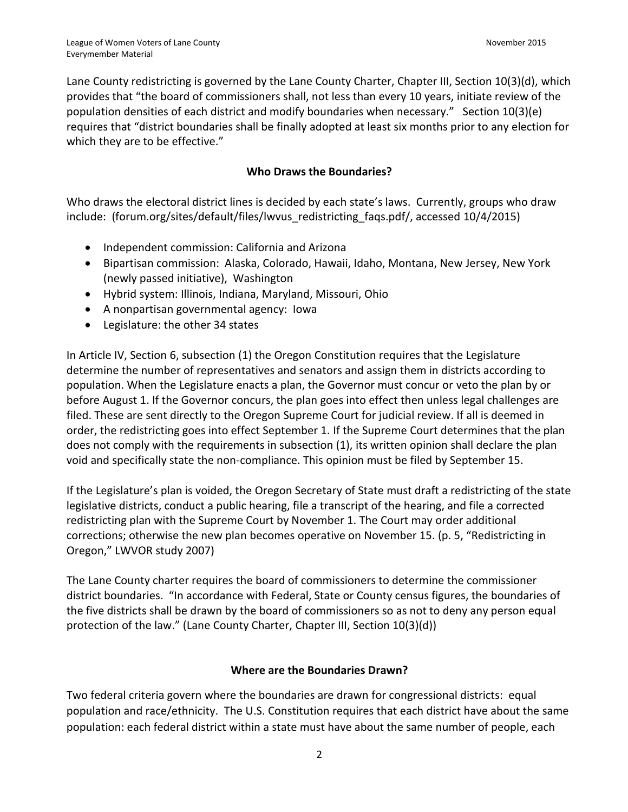Lane County redistricting is governed by the Lane County Charter, Chapter III, Section 10(3)(d), which provides that "the board of commissioners shall, not less than every 10 years, initiate review of the population densities of each district and modify boundaries when necessary." Section 10(3)(e) requires that "district boundaries shall be finally adopted at least six months prior to any election for which they are to be effective."

## **Who Draws the Boundaries?**

Who draws the electoral district lines is decided by each state's laws. Currently, groups who draw include: (forum.org/sites/default/files/lwvus redistricting faqs.pdf/, accessed 10/4/2015)

- Independent commission: California and Arizona
- Bipartisan commission: Alaska, Colorado, Hawaii, Idaho, Montana, New Jersey, New York (newly passed initiative), Washington
- Hybrid system: Illinois, Indiana, Maryland, Missouri, Ohio
- A nonpartisan governmental agency: Iowa
- Legislature: the other 34 states

In Article IV, Section 6, subsection (1) the Oregon Constitution requires that the Legislature determine the number of representatives and senators and assign them in districts according to population. When the Legislature enacts a plan, the Governor must concur or veto the plan by or before August 1. If the Governor concurs, the plan goes into effect then unless legal challenges are filed. These are sent directly to the Oregon Supreme Court for judicial review. If all is deemed in order, the redistricting goes into effect September 1. If the Supreme Court determines that the plan does not comply with the requirements in subsection (1), its written opinion shall declare the plan void and specifically state the non-compliance. This opinion must be filed by September 15.

If the Legislature's plan is voided, the Oregon Secretary of State must draft a redistricting of the state legislative districts, conduct a public hearing, file a transcript of the hearing, and file a corrected redistricting plan with the Supreme Court by November 1. The Court may order additional corrections; otherwise the new plan becomes operative on November 15. (p. 5, "Redistricting in Oregon," LWVOR study 2007)

The Lane County charter requires the board of commissioners to determine the commissioner district boundaries. "In accordance with Federal, State or County census figures, the boundaries of the five districts shall be drawn by the board of commissioners so as not to deny any person equal protection of the law." (Lane County Charter, Chapter III, Section 10(3)(d))

#### **Where are the Boundaries Drawn?**

Two federal criteria govern where the boundaries are drawn for congressional districts: equal population and race/ethnicity. The U.S. Constitution requires that each district have about the same population: each federal district within a state must have about the same number of people, each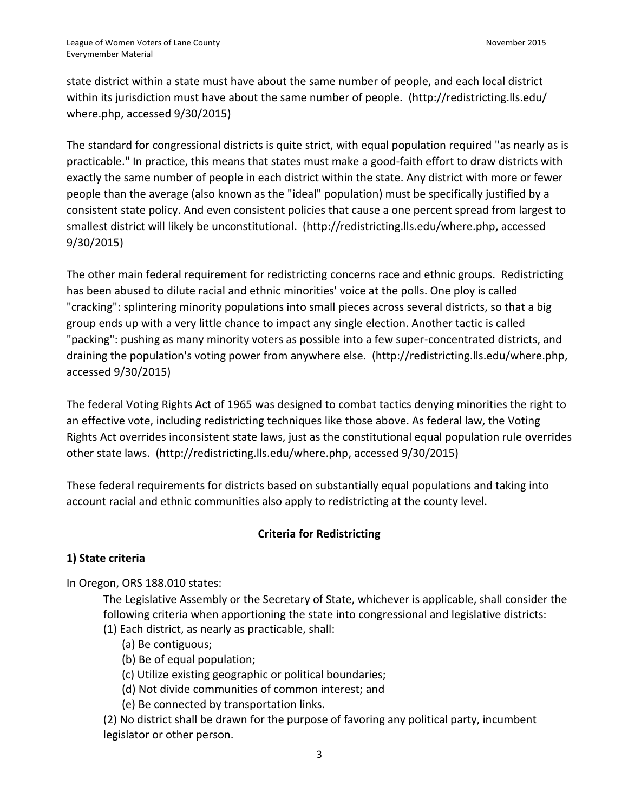state district within a state must have about the same number of people, and each local district within its jurisdiction must have about the same number of people. [\(http://redistricting.lls.edu/](http://redistricting.lls.edu/) where.php, accessed 9/30/2015)

The standard for congressional districts is quite strict, with equal population required ["as nearly as is](http://scholar.google.com/scholar_case?case=6357954371173516293)  [practicable.](http://scholar.google.com/scholar_case?case=6357954371173516293)" In practice, this means that states must make a good-faith effort to draw districts with exactly the same number of people in each district within the state. Any district with more or fewer people than the average (also known as the "ideal" population) must be specifically justified by a consistent state policy. And even consistent policies that cause a one percent spread from largest to smallest district will likely be unconstitutional. (http://redistricting.lls.edu/where.php, accessed 9/30/2015)

The other main federal requirement for redistricting concerns race and ethnic groups. Redistricting has been abused to dilute racial and ethnic minorities' voice at the polls. One ploy is called "cracking": splintering minority populations into small pieces across several districts, so that a big group ends up with a very little chance to impact any single election. Another tactic is called "packing": pushing as many minority voters as possible into a few super-concentrated districts, and draining the population's voting power from anywhere else. (http://redistricting.lls.edu/where.php, accessed 9/30/2015)

The federal [Voting Rights Act of 1965](http://www.justice.gov/crt/about/vot/overview.php#vra) was designed to combat tactics denying minorities the right to an effective vote, including redistricting techniques like those above. As federal law, the Voting Rights Act overrides inconsistent state laws, just as the constitutional equal population rule overrides other state laws. [\(http://redistricting.lls.edu/where.php,](http://redistricting.lls.edu/where.php) accessed 9/30/2015)

These federal requirements for districts based on substantially equal populations and taking into account racial and ethnic communities also apply to redistricting at the county level.

# **Criteria for Redistricting**

# **1) State criteria**

In Oregon, ORS 188.010 states:

The Legislative Assembly or the Secretary of State, whichever is applicable, shall consider the following criteria when apportioning the state into congressional and legislative districts:

- (1) Each district, as nearly as practicable, shall:
	- (a) Be contiguous;
	- (b) Be of equal population;
	- (c) Utilize existing geographic or political boundaries;
	- (d) Not divide communities of common interest; and
	- (e) Be connected by transportation links.

(2) No district shall be drawn for the purpose of favoring any political party, incumbent legislator or other person.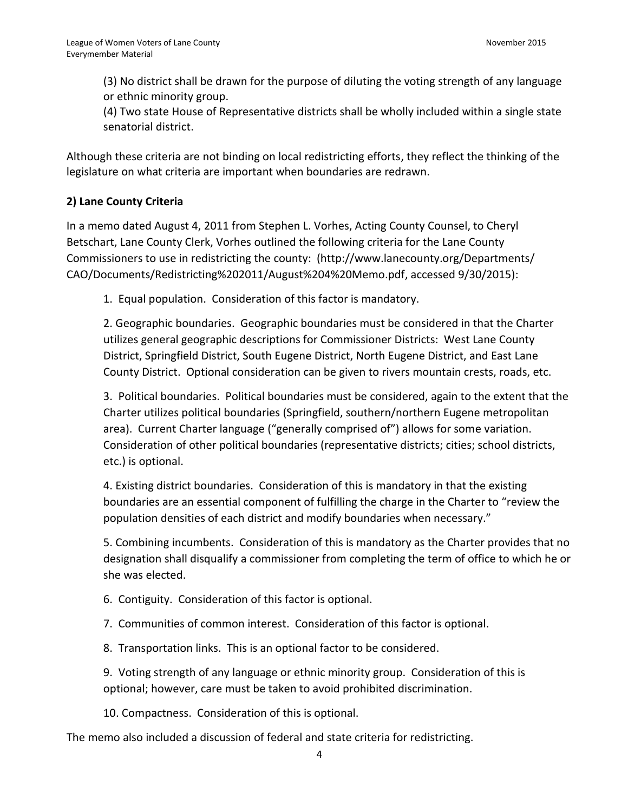(3) No district shall be drawn for the purpose of diluting the voting strength of any language or ethnic minority group.

(4) Two state House of Representative districts shall be wholly included within a single state senatorial district.

Although these criteria are not binding on local redistricting efforts, they reflect the thinking of the legislature on what criteria are important when boundaries are redrawn.

#### **2) Lane County Criteria**

In a memo dated August 4, 2011 from Stephen L. Vorhes, Acting County Counsel, to Cheryl Betschart, Lane County Clerk, Vorhes outlined the following criteria for the Lane County Commissioners to use in redistricting the county: [\(http://www.lanecounty.org/Departments/](http://www.lanecounty.org/Departments/%20CAO/Documents/Redistricting%202011/August%204%20Memo.pdf)  [CAO/Documents/Redistricting%202011/August%204%20Memo.pdf,](http://www.lanecounty.org/Departments/%20CAO/Documents/Redistricting%202011/August%204%20Memo.pdf) accessed 9/30/2015):

1. Equal population. Consideration of this factor is mandatory.

2. Geographic boundaries. Geographic boundaries must be considered in that the Charter utilizes general geographic descriptions for Commissioner Districts: West Lane County District, Springfield District, South Eugene District, North Eugene District, and East Lane County District. Optional consideration can be given to rivers mountain crests, roads, etc.

3. Political boundaries. Political boundaries must be considered, again to the extent that the Charter utilizes political boundaries (Springfield, southern/northern Eugene metropolitan area). Current Charter language ("generally comprised of") allows for some variation. Consideration of other political boundaries (representative districts; cities; school districts, etc.) is optional.

4. Existing district boundaries. Consideration of this is mandatory in that the existing boundaries are an essential component of fulfilling the charge in the Charter to "review the population densities of each district and modify boundaries when necessary."

5. Combining incumbents. Consideration of this is mandatory as the Charter provides that no designation shall disqualify a commissioner from completing the term of office to which he or she was elected.

6. Contiguity. Consideration of this factor is optional.

7. Communities of common interest. Consideration of this factor is optional.

8. Transportation links. This is an optional factor to be considered.

9. Voting strength of any language or ethnic minority group. Consideration of this is optional; however, care must be taken to avoid prohibited discrimination.

10. Compactness. Consideration of this is optional.

The memo also included a discussion of federal and state criteria for redistricting.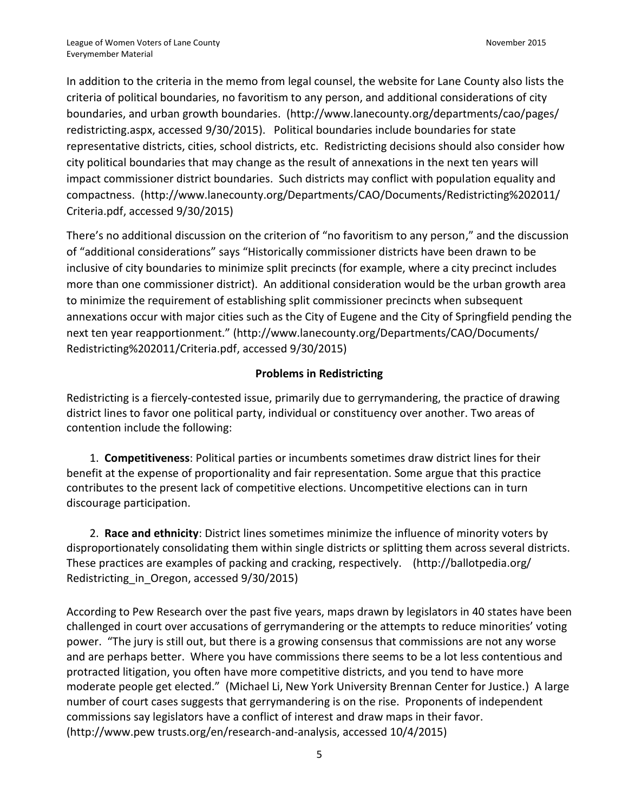In addition to the criteria in the memo from legal counsel, the website for Lane County also lists the criteria of political boundaries, no favoritism to any person, and additional considerations of city boundaries, and urban growth boundaries. [\(http://www.lanecounty.org/departments/cao/pages/](http://www.lanecounty.org/departments/cao/pages/%20redistricting.aspx)  [redistricting.aspx,](http://www.lanecounty.org/departments/cao/pages/%20redistricting.aspx) accessed 9/30/2015). Political boundaries include boundaries for state representative districts, cities, school districts, etc. Redistricting decisions should also consider how city political boundaries that may change as the result of annexations in the next ten years will impact commissioner district boundaries. Such districts may conflict with population equality and compactness. [\(http://www.lanecounty.org/Departments/CAO/Documents/Redistricting%202011/](http://www.lanecounty.org/Departments/CAO/Documents/Redistricting%202011/) Criteria.pdf, accessed 9/30/2015)

There's no additional discussion on the criterion of "no favoritism to any person," and the discussion of "additional considerations" says "Historically commissioner districts have been drawn to be inclusive of city boundaries to minimize split precincts (for example, where a city precinct includes more than one commissioner district). An additional consideration would be the urban growth area to minimize the requirement of establishing split commissioner precincts when subsequent annexations occur with major cities such as the City of Eugene and the City of Springfield pending the next ten year reapportionment." [\(http://www.lanecounty.org/Departments/CAO/Documents/](http://www.lanecounty.org/Departments/CAO/Documents/%20Redistricting%202011/Criteria.pdf)  [Redistricting%202011/Criteria.pdf,](http://www.lanecounty.org/Departments/CAO/Documents/%20Redistricting%202011/Criteria.pdf) accessed 9/30/2015)

## **Problems in Redistricting**

Redistricting is a fiercely-contested issue, primarily due to [gerrymandering,](http://ballotpedia.org/Redistricting_in_Oregon#Key_terms_and_concepts) the practice of drawing district lines to favor one political party, individual or constituency over another. Two areas of contention include the following:

1. **[Competitiveness](http://ballotpedia.org/Redistricting_in_Oregon#Competitiveness)**: Political parties or incumbents sometimes draw district lines for their benefit at the expense of proportionality and fair representation. Some argue that this practice contributes to the present lack of competitive elections. Uncompetitive elections can in turn discourage participation.

2. **[Race and ethnicity](http://ballotpedia.org/Redistricting_in_Oregon#Race_and_ethnicity)**: District lines sometimes minimize the influence of minority voters by disproportionately consolidating them within single districts or splitting them across several districts. These practices are examples of packing and cracking, respectively. [\(http://ballotpedia.org/](http://ballotpedia.org/%20Redistricting_in_Oregon)  Redistricting in Oregon, accessed 9/30/2015)

According to Pew Research over the past five years, maps drawn by legislators in 40 states have been challenged in court over accusations of gerrymandering or the attempts to reduce minorities' voting power. "The jury is still out, but there is a growing consensus that commissions are not any worse and are perhaps better. Where you have commissions there seems to be a lot less contentious and protracted litigation, you often have more competitive districts, and you tend to have more moderate people get elected." (Michael Li, New York University Brennan Center for Justice.) A large number of court cases suggests that gerrymandering is on the rise. Proponents of independent commissions say legislators have a conflict of interest and draw maps in their favor. (http://www.pew trusts.org/en/research-and-analysis, accessed 10/4/2015)